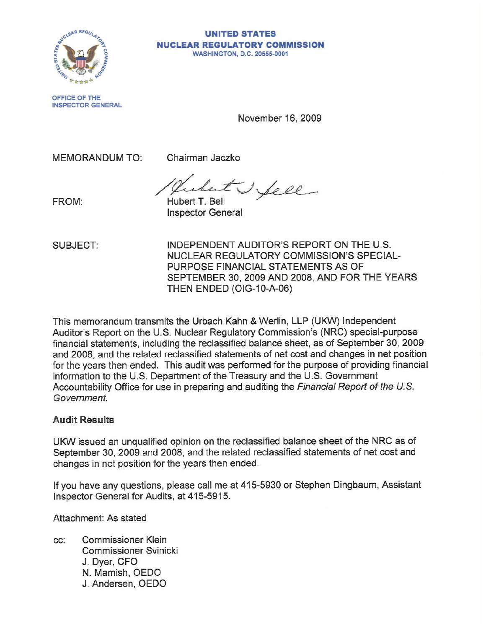

#### **UNITED STATES NUCLEAR REGULATDRY CDMMISSIDN WASHINGTON, D.C. 20555-0001**

**OFFICE OF THE INSPECTOR GENERAL** 

November 16, 2009

MEMORANDUM TO:

Chairman Jaczko

FROM: Hubert J. Sell

Inspector General

SUBJECT:

INDEPENDENT AUDITOR'S REPORT ON THE U.S. NUCLEAR REGULATORY COMMISSION'S SPECIAL-PURPOSE FINANCIAL STATEMENTS AS OF SEPTEMBER 30, 2009 AND 2008, AND FOR THE YEARS THEN ENDED (0IG-10-A-06)

This memorandum transmits the Urbach Kahn & Werlin, LLP (UKW) Independent Auditor's Report on the U.S. Nuclear Regulatory Commission's (NRC) special-purpose financial statements, including the reclassified balance sheet, as of September 30, 2009 and 2008, and the related reclassified statements of net cost and changes in net position for the years then ended. This audit was performed for the purpose of providing financial information to the U.S. Department of the Treasury and the U.S. Government Accountability Office for use in preparing and auditing the Financial Report of the U.S. **Government.** 

# **Audit** Results

UKW issued an unqualified opinion on the reclassified balance sheet of the NRC as of September 30, 2009 and 2008, and the related reclassified statements of net cost and changes in net position for the years then ended.

If you have any questions, please call me at 415-5930 or Stephen Dingbaum, Assistant Inspector General for Audits, at 415-5915.

Attachment: As stated

**cc: Commissioner Klein Commissioner Svinicki**  J. Dyer, CFO N. Mamish, OEDO J. Andersen, OEDO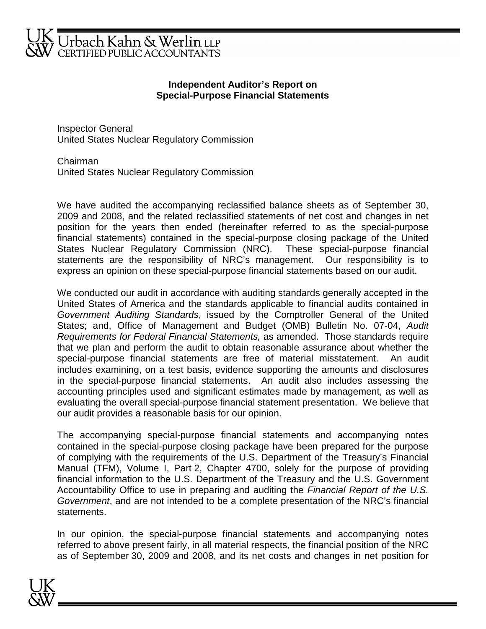

# **Independent Auditor's Report on Special-Purpose Financial Statements**

Inspector General United States Nuclear Regulatory Commission

Chairman United States Nuclear Regulatory Commission

We have audited the accompanying reclassified balance sheets as of September 30, 2009 and 2008, and the related reclassified statements of net cost and changes in net position for the years then ended (hereinafter referred to as the special-purpose financial statements) contained in the special-purpose closing package of the United States Nuclear Regulatory Commission (NRC). These special-purpose financial statements are the responsibility of NRC's management. Our responsibility is to express an opinion on these special-purpose financial statements based on our audit.

We conducted our audit in accordance with auditing standards generally accepted in the United States of America and the standards applicable to financial audits contained in Government Auditing Standards, issued by the Comptroller General of the United States; and, Office of Management and Budget (OMB) Bulletin No. 07-04, Audit Requirements for Federal Financial Statements, as amended. Those standards require that we plan and perform the audit to obtain reasonable assurance about whether the special-purpose financial statements are free of material misstatement. An audit includes examining, on a test basis, evidence supporting the amounts and disclosures in the special-purpose financial statements. An audit also includes assessing the accounting principles used and significant estimates made by management, as well as evaluating the overall special-purpose financial statement presentation. We believe that our audit provides a reasonable basis for our opinion.

The accompanying special-purpose financial statements and accompanying notes contained in the special-purpose closing package have been prepared for the purpose of complying with the requirements of the U.S. Department of the Treasury's Financial Manual (TFM), Volume I, Part 2, Chapter 4700, solely for the purpose of providing financial information to the U.S. Department of the Treasury and the U.S. Government Accountability Office to use in preparing and auditing the Financial Report of the U.S. Government, and are not intended to be a complete presentation of the NRC's financial statements.

In our opinion, the special-purpose financial statements and accompanying notes referred to above present fairly, in all material respects, the financial position of the NRC as of September 30, 2009 and 2008, and its net costs and changes in net position for

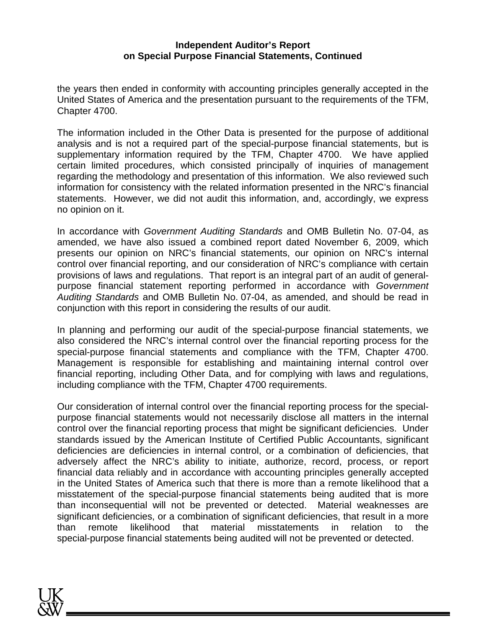# **Independent Auditor's Report on Special Purpose Financial Statements, Continued**

the years then ended in conformity with accounting principles generally accepted in the United States of America and the presentation pursuant to the requirements of the TFM, Chapter 4700.

The information included in the Other Data is presented for the purpose of additional analysis and is not a required part of the special-purpose financial statements, but is supplementary information required by the TFM, Chapter 4700. We have applied certain limited procedures, which consisted principally of inquiries of management regarding the methodology and presentation of this information. We also reviewed such information for consistency with the related information presented in the NRC's financial statements. However, we did not audit this information, and, accordingly, we express no opinion on it.

In accordance with Government Auditing Standards and OMB Bulletin No. 07-04, as amended, we have also issued a combined report dated November 6, 2009, which presents our opinion on NRC's financial statements, our opinion on NRC's internal control over financial reporting, and our consideration of NRC's compliance with certain provisions of laws and regulations. That report is an integral part of an audit of generalpurpose financial statement reporting performed in accordance with Government Auditing Standards and OMB Bulletin No. 07-04, as amended, and should be read in conjunction with this report in considering the results of our audit.

In planning and performing our audit of the special-purpose financial statements, we also considered the NRC's internal control over the financial reporting process for the special-purpose financial statements and compliance with the TFM, Chapter 4700. Management is responsible for establishing and maintaining internal control over financial reporting, including Other Data, and for complying with laws and regulations, including compliance with the TFM, Chapter 4700 requirements.

Our consideration of internal control over the financial reporting process for the specialpurpose financial statements would not necessarily disclose all matters in the internal control over the financial reporting process that might be significant deficiencies. Under standards issued by the American Institute of Certified Public Accountants, significant deficiencies are deficiencies in internal control, or a combination of deficiencies, that adversely affect the NRC's ability to initiate, authorize, record, process, or report financial data reliably and in accordance with accounting principles generally accepted in the United States of America such that there is more than a remote likelihood that a misstatement of the special-purpose financial statements being audited that is more than inconsequential will not be prevented or detected. Material weaknesses are significant deficiencies, or a combination of significant deficiencies, that result in a more than remote likelihood that material misstatements in relation to the special-purpose financial statements being audited will not be prevented or detected.

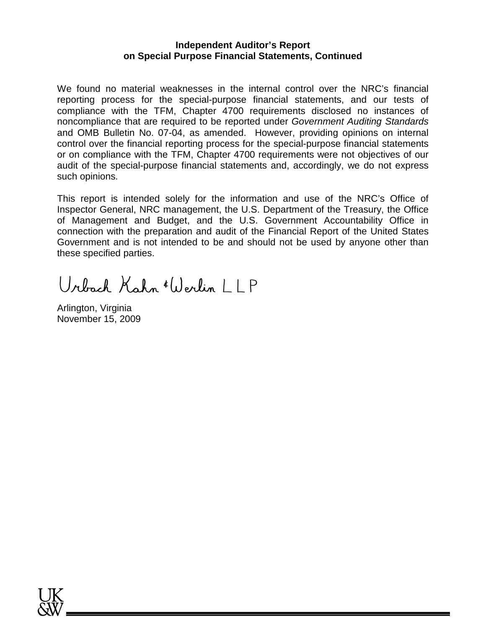# **Independent Auditor's Report on Special Purpose Financial Statements, Continued**

We found no material weaknesses in the internal control over the NRC's financial reporting process for the special-purpose financial statements, and our tests of compliance with the TFM, Chapter 4700 requirements disclosed no instances of noncompliance that are required to be reported under Government Auditing Standards and OMB Bulletin No. 07-04, as amended. However, providing opinions on internal control over the financial reporting process for the special-purpose financial statements or on compliance with the TFM, Chapter 4700 requirements were not objectives of our audit of the special-purpose financial statements and, accordingly, we do not express such opinions.

This report is intended solely for the information and use of the NRC's Office of Inspector General, NRC management, the U.S. Department of the Treasury, the Office of Management and Budget, and the U.S. Government Accountability Office in connection with the preparation and audit of the Financial Report of the United States Government and is not intended to be and should not be used by anyone other than these specified parties.

Urbach Kahn (Werlin 1 | P

Arlington, Virginia November 15, 2009

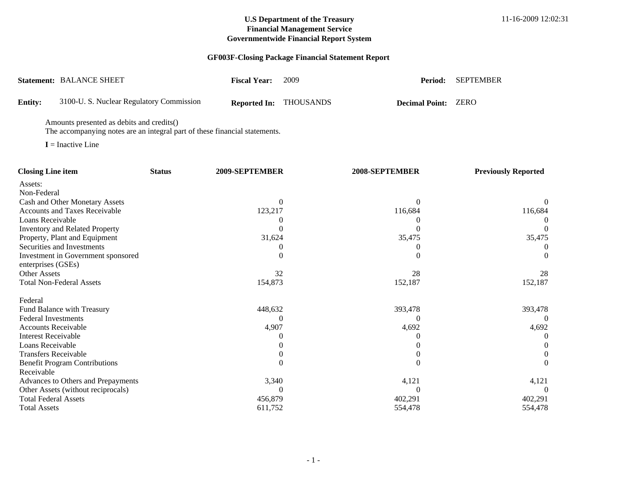# **GF003F-Closing Package Financial Statement Report**

|                | <b>Statement: BALANCE SHEET</b>          | <b>Fiscal Year:</b> | -2009                         | Period:                    | SEPTEMBER |
|----------------|------------------------------------------|---------------------|-------------------------------|----------------------------|-----------|
| <b>Entity:</b> | 3100-U. S. Nuclear Regulatory Commission |                     | <b>Reported In: THOUSANDS</b> | <b>Decimal Point: ZERO</b> |           |

Amounts presented as debits and credits()

The accompanying notes are an integral part of these financial statements.

**I** = Inactive Line

| <b>Closing Line item</b>              | <b>Status</b> | 2009-SEPTEMBER | 2008-SEPTEMBER | <b>Previously Reported</b> |
|---------------------------------------|---------------|----------------|----------------|----------------------------|
| Assets:                               |               |                |                |                            |
| Non-Federal                           |               |                |                |                            |
| Cash and Other Monetary Assets        |               |                |                |                            |
| <b>Accounts and Taxes Receivable</b>  |               | 123,217        | 116,684        | 116,684                    |
| Loans Receivable                      |               |                |                |                            |
| <b>Inventory and Related Property</b> |               |                |                |                            |
| Property, Plant and Equipment         |               | 31,624         | 35,475         | 35,475                     |
| Securities and Investments            |               |                |                |                            |
| Investment in Government sponsored    |               |                |                |                            |
| enterprises (GSEs)                    |               |                |                |                            |
| <b>Other Assets</b>                   |               | 32             | 28             | 28                         |
| <b>Total Non-Federal Assets</b>       |               | 154,873        | 152,187        | 152,187                    |
| Federal                               |               |                |                |                            |
| Fund Balance with Treasury            |               | 448,632        | 393,478        | 393,478                    |
| <b>Federal Investments</b>            |               |                |                |                            |
| <b>Accounts Receivable</b>            |               | 4,907          | 4,692          | 4,692                      |
| <b>Interest Receivable</b>            |               |                |                |                            |
| Loans Receivable                      |               |                |                |                            |
| <b>Transfers Receivable</b>           |               |                |                |                            |
| <b>Benefit Program Contributions</b>  |               |                |                |                            |
| Receivable                            |               |                |                |                            |
| Advances to Others and Prepayments    |               | 3,340          | 4,121          | 4,121                      |
| Other Assets (without reciprocals)    |               |                |                |                            |
| <b>Total Federal Assets</b>           |               | 456,879        | 402,291        | 402,291                    |
| <b>Total Assets</b>                   |               | 611,752        | 554,478        | 554,478                    |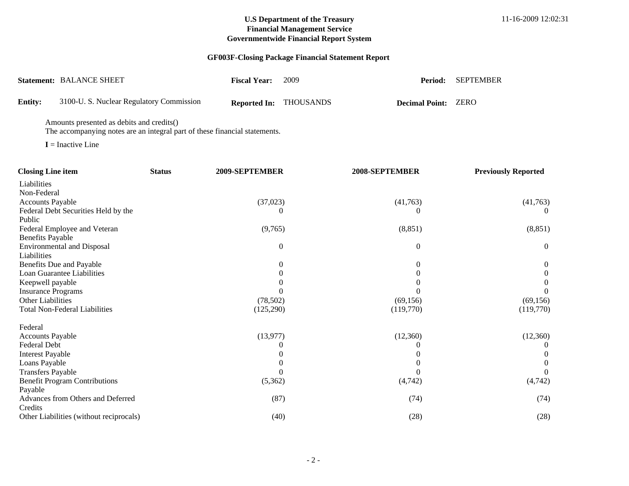# **GF003F-Closing Package Financial Statement Report**

|         | <b>Statement: BALANCE SHEET</b>          | <b>Fiscal Year:</b> | -2009                         | Period:                    | SEPTEMBER |
|---------|------------------------------------------|---------------------|-------------------------------|----------------------------|-----------|
| Entity: | 3100-U. S. Nuclear Regulatory Commission |                     | <b>Reported In: THOUSANDS</b> | <b>Decimal Point: ZERO</b> |           |

Amounts presented as debits and credits()

The accompanying notes are an integral part of these financial statements.

**I** = Inactive Line

| <b>Closing Line item</b>                | <b>Status</b> | 2009-SEPTEMBER   | 2008-SEPTEMBER | <b>Previously Reported</b> |
|-----------------------------------------|---------------|------------------|----------------|----------------------------|
| Liabilities                             |               |                  |                |                            |
| Non-Federal                             |               |                  |                |                            |
| <b>Accounts Payable</b>                 |               | (37, 023)        | (41,763)       | (41,763)                   |
| Federal Debt Securities Held by the     |               |                  |                |                            |
| Public                                  |               |                  |                |                            |
| Federal Employee and Veteran            |               | (9,765)          | (8, 851)       | (8, 851)                   |
| <b>Benefits Payable</b>                 |               |                  |                |                            |
| <b>Environmental and Disposal</b>       |               | $\boldsymbol{0}$ | 0              | $\overline{0}$             |
| Liabilities                             |               |                  |                |                            |
| Benefits Due and Payable                |               | $\theta$         | 0              | $\boldsymbol{0}$           |
| Loan Guarantee Liabilities              |               |                  |                |                            |
| Keepwell payable                        |               |                  |                |                            |
| <b>Insurance Programs</b>               |               |                  |                |                            |
| Other Liabilities                       |               | (78,502)         | (69, 156)      | (69, 156)                  |
| <b>Total Non-Federal Liabilities</b>    |               | (125,290)        | (119,770)      | (119,770)                  |
| Federal                                 |               |                  |                |                            |
| <b>Accounts Payable</b>                 |               | (13,977)         | (12,360)       | (12,360)                   |
| Federal Debt                            |               |                  |                |                            |
| <b>Interest Payable</b>                 |               |                  |                |                            |
| Loans Payable                           |               |                  |                |                            |
| <b>Transfers Payable</b>                |               |                  |                |                            |
| <b>Benefit Program Contributions</b>    |               | (5,362)          | (4,742)        | (4,742)                    |
| Payable                                 |               |                  |                |                            |
| Advances from Others and Deferred       |               | (87)             | (74)           | (74)                       |
| Credits                                 |               |                  |                |                            |
| Other Liabilities (without reciprocals) |               | (40)             | (28)           | (28)                       |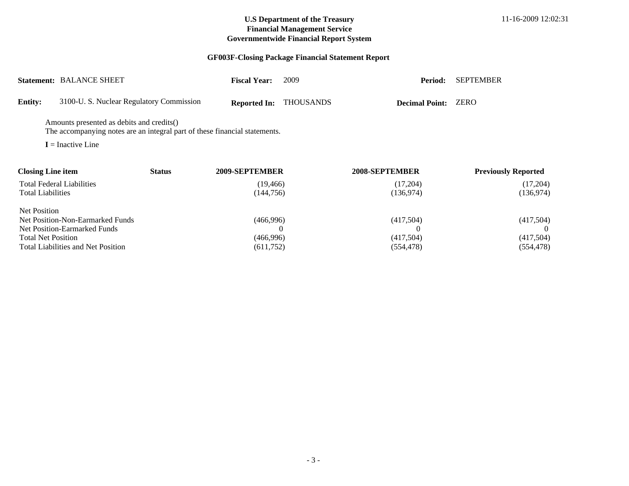# **GF003F-Closing Package Financial Statement Report**

|                           | <b>Statement: BALANCE SHEET</b>                                                                                         |               | <b>Fiscal Year:</b>     | 2009             | Period:                | <b>SEPTEMBER</b>           |
|---------------------------|-------------------------------------------------------------------------------------------------------------------------|---------------|-------------------------|------------------|------------------------|----------------------------|
| <b>Entity:</b>            | 3100-U. S. Nuclear Regulatory Commission                                                                                |               | <b>Reported In:</b>     | <b>THOUSANDS</b> | <b>Decimal Point:</b>  | <b>ZERO</b>                |
|                           | Amounts presented as debits and credits()<br>The accompanying notes are an integral part of these financial statements. |               |                         |                  |                        |                            |
|                           | $I = Inactive Line$                                                                                                     |               |                         |                  |                        |                            |
| <b>Closing Line item</b>  |                                                                                                                         | <b>Status</b> | 2009-SEPTEMBER          |                  | 2008-SEPTEMBER         | <b>Previously Reported</b> |
| <b>Total Liabilities</b>  | <b>Total Federal Liabilities</b>                                                                                        |               | (19, 466)<br>(144, 756) |                  | (17,204)<br>(136, 974) | (17,204)<br>(136, 974)     |
| <b>Net Position</b>       |                                                                                                                         |               |                         |                  |                        |                            |
|                           | Net Position-Non-Earmarked Funds                                                                                        |               | (466,996)               |                  | (417,504)              | (417,504)                  |
|                           | Net Position-Earmarked Funds                                                                                            |               |                         |                  |                        | 0                          |
| <b>Total Net Position</b> |                                                                                                                         |               | (466,996)               |                  | (417,504)              | (417,504)                  |
|                           | <b>Total Liabilities and Net Position</b>                                                                               |               | (611, 752)              |                  | (554, 478)             | (554, 478)                 |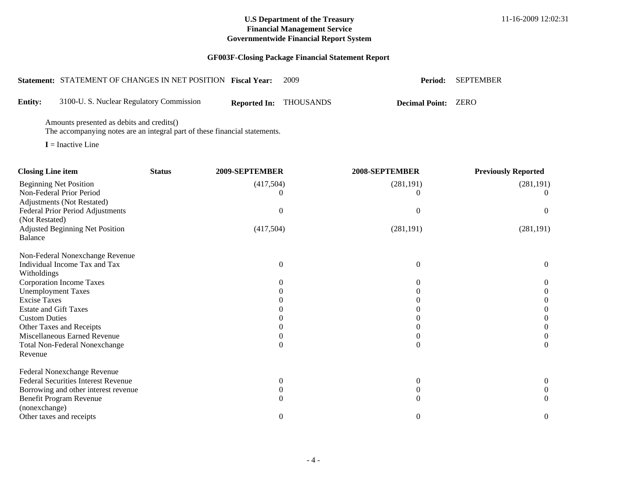|                                                                                  |                                           | Statement: STATEMENT OF CHANGES IN NET POSITION Fiscal Year:               |                     | 2009                                 | Period:                              | <b>SEPTEMBER</b>                     |
|----------------------------------------------------------------------------------|-------------------------------------------|----------------------------------------------------------------------------|---------------------|--------------------------------------|--------------------------------------|--------------------------------------|
| <b>Entity:</b>                                                                   | 3100-U.S. Nuclear Regulatory Commission   |                                                                            | <b>Reported In:</b> | <b>THOUSANDS</b>                     | <b>Decimal Point:</b>                | <b>ZERO</b>                          |
|                                                                                  | Amounts presented as debits and credits() | The accompanying notes are an integral part of these financial statements. |                     |                                      |                                      |                                      |
| $I = Inactive Line$                                                              |                                           |                                                                            |                     |                                      |                                      |                                      |
| <b>Closing Line item</b>                                                         |                                           | <b>Status</b>                                                              | 2009-SEPTEMBER      |                                      | 2008-SEPTEMBER                       | <b>Previously Reported</b>           |
| <b>Beginning Net Position</b><br>Non-Federal Prior Period                        |                                           |                                                                            | (417,504)           | $\theta$                             | (281, 191)<br>$\overline{0}$         | (281, 191)<br>$\theta$               |
| Adjustments (Not Restated)<br>Federal Prior Period Adjustments<br>(Not Restated) |                                           |                                                                            |                     | $\boldsymbol{0}$                     | $\boldsymbol{0}$                     | $\boldsymbol{0}$                     |
| <b>Adjusted Beginning Net Position</b><br>Balance                                |                                           |                                                                            | (417,504)           |                                      | (281, 191)                           | (281, 191)                           |
| Individual Income Tax and Tax<br>Witholdings                                     | Non-Federal Nonexchange Revenue           |                                                                            |                     | $\boldsymbol{0}$                     | $\boldsymbol{0}$                     | $\boldsymbol{0}$                     |
| Corporation Income Taxes                                                         |                                           |                                                                            |                     | $\boldsymbol{0}$                     | $\overline{0}$                       | $\boldsymbol{0}$                     |
| <b>Unemployment Taxes</b>                                                        |                                           |                                                                            |                     | $\overline{0}$                       | $\theta$                             | $\boldsymbol{0}$                     |
| <b>Excise Taxes</b><br><b>Estate and Gift Taxes</b>                              |                                           |                                                                            |                     | $\theta$<br>$\theta$                 | $\Omega$                             | $\boldsymbol{0}$                     |
| <b>Custom Duties</b>                                                             |                                           |                                                                            |                     | $\theta$                             | $\theta$<br>$\overline{0}$           | $\boldsymbol{0}$<br>$\boldsymbol{0}$ |
| Other Taxes and Receipts                                                         |                                           |                                                                            |                     | $\Omega$                             | $\theta$                             | $\boldsymbol{0}$                     |
| Miscellaneous Earned Revenue                                                     |                                           |                                                                            |                     | $\theta$                             | $\mathbf{0}$                         | $\boldsymbol{0}$                     |
| <b>Total Non-Federal Nonexchange</b><br>Revenue                                  |                                           |                                                                            |                     | $\mathbf{0}$                         | $\boldsymbol{0}$                     | $\mathbf{0}$                         |
| Federal Nonexchange Revenue<br><b>Federal Securities Interest Revenue</b>        |                                           |                                                                            |                     |                                      |                                      |                                      |
|                                                                                  | Borrowing and other interest revenue      |                                                                            |                     | $\boldsymbol{0}$<br>$\boldsymbol{0}$ | $\boldsymbol{0}$<br>$\boldsymbol{0}$ | $\boldsymbol{0}$<br>$\boldsymbol{0}$ |
| Benefit Program Revenue                                                          |                                           |                                                                            |                     | $\overline{0}$                       | $\boldsymbol{0}$                     | $\overline{0}$                       |
| (nonexchange)                                                                    |                                           |                                                                            |                     |                                      |                                      |                                      |
| Other taxes and receipts                                                         |                                           |                                                                            |                     | $\boldsymbol{0}$                     | $\boldsymbol{0}$                     | $\boldsymbol{0}$                     |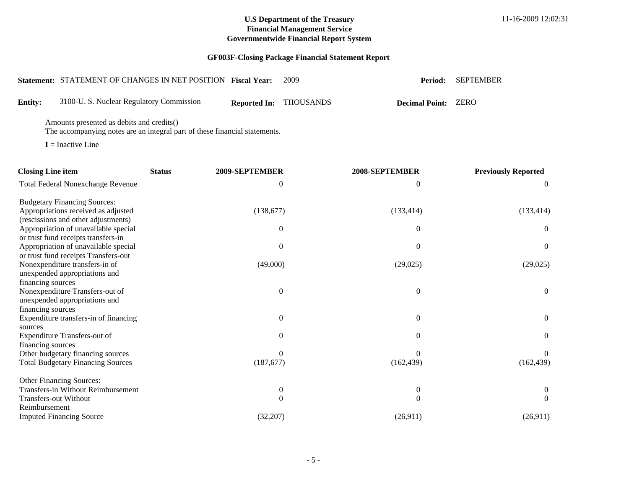|                                        | Statement: STATEMENT OF CHANGES IN NET POSITION Fiscal Year:                                                            |               |                | 2009                                 | Period:                            | <b>SEPTEMBER</b>               |
|----------------------------------------|-------------------------------------------------------------------------------------------------------------------------|---------------|----------------|--------------------------------------|------------------------------------|--------------------------------|
| <b>Entity:</b>                         | 3100-U. S. Nuclear Regulatory Commission                                                                                |               |                | Reported In: THOUSANDS               | <b>Decimal Point: ZERO</b>         |                                |
|                                        | Amounts presented as debits and credits()<br>The accompanying notes are an integral part of these financial statements. |               |                |                                      |                                    |                                |
|                                        | $I = Inactive Line$                                                                                                     |               |                |                                      |                                    |                                |
| <b>Closing Line item</b>               |                                                                                                                         | <b>Status</b> | 2009-SEPTEMBER |                                      | 2008-SEPTEMBER                     | <b>Previously Reported</b>     |
|                                        | <b>Total Federal Nonexchange Revenue</b>                                                                                |               |                | $\mathbf{0}$                         | 0                                  | $\theta$                       |
|                                        | <b>Budgetary Financing Sources:</b><br>Appropriations received as adjusted<br>(rescissions and other adjustments)       |               | (138,677)      |                                      | (133, 414)                         | (133, 414)                     |
|                                        | Appropriation of unavailable special                                                                                    |               |                | $\boldsymbol{0}$                     | $\boldsymbol{0}$                   | $\boldsymbol{0}$               |
|                                        | or trust fund receipts transfers-in<br>Appropriation of unavailable special                                             |               |                | $\mathbf{0}$                         | $\boldsymbol{0}$                   | $\boldsymbol{0}$               |
|                                        | or trust fund receipts Transfers-out<br>Nonexpenditure transfers-in of<br>unexpended appropriations and                 |               | (49,000)       |                                      | (29, 025)                          | (29,025)                       |
| financing sources<br>financing sources | Nonexpenditure Transfers-out of<br>unexpended appropriations and                                                        |               |                | $\mathbf{0}$                         | $\boldsymbol{0}$                   | $\mathbf{0}$                   |
|                                        | Expenditure transfers-in of financing                                                                                   |               |                | $\boldsymbol{0}$                     | $\boldsymbol{0}$                   | $\boldsymbol{0}$               |
| sources<br>financing sources           | Expenditure Transfers-out of                                                                                            |               |                | $\mathbf{0}$                         | $\overline{0}$                     | $\theta$                       |
|                                        | Other budgetary financing sources<br><b>Total Budgetary Financing Sources</b>                                           |               | (187,677)      | $\mathbf{0}$                         | 0<br>(162, 439)                    | $\theta$<br>(162, 439)         |
|                                        | Other Financing Sources:                                                                                                |               |                |                                      |                                    |                                |
| <b>Transfers-out Without</b>           | Transfers-in Without Reimbursement                                                                                      |               |                | $\boldsymbol{0}$<br>$\boldsymbol{0}$ | $\boldsymbol{0}$<br>$\overline{0}$ | $\overline{0}$<br>$\mathbf{0}$ |
| Reimbursement                          |                                                                                                                         |               |                |                                      |                                    |                                |
|                                        | <b>Imputed Financing Source</b>                                                                                         |               | (32, 207)      |                                      | (26,911)                           | (26,911)                       |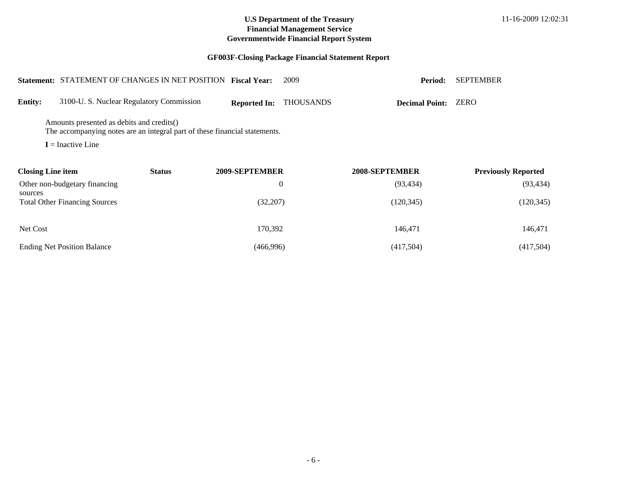|                                                                                                                         |                                          | <b>Statement: STATEMENT OF CHANGES IN NET POSITION</b> | <b>Fiscal Year:</b> | 2009             | Period:               | <b>SEPTEMBER</b>           |  |  |
|-------------------------------------------------------------------------------------------------------------------------|------------------------------------------|--------------------------------------------------------|---------------------|------------------|-----------------------|----------------------------|--|--|
| <b>Entity:</b>                                                                                                          | 3100-U. S. Nuclear Regulatory Commission |                                                        | <b>Reported In:</b> | <b>THOUSANDS</b> | <b>Decimal Point:</b> | ZERO                       |  |  |
| Amounts presented as debits and credits()<br>The accompanying notes are an integral part of these financial statements. |                                          |                                                        |                     |                  |                       |                            |  |  |
|                                                                                                                         | $I = Inactive Line$                      |                                                        |                     |                  |                       |                            |  |  |
| <b>Closing Line item</b>                                                                                                |                                          | <b>Status</b>                                          | 2009-SEPTEMBER      |                  | 2008-SEPTEMBER        | <b>Previously Reported</b> |  |  |
|                                                                                                                         | Other non-budgetary financing            |                                                        |                     | $\theta$         | (93, 434)             | (93, 434)                  |  |  |
| sources                                                                                                                 | <b>Total Other Financing Sources</b>     |                                                        | (32,207)            |                  | (120, 345)            | (120, 345)                 |  |  |
| Net Cost                                                                                                                |                                          |                                                        | 170,392             |                  | 146,471               | 146,471                    |  |  |
|                                                                                                                         | <b>Ending Net Position Balance</b>       |                                                        | (466,996)           |                  | (417,504)             | (417,504)                  |  |  |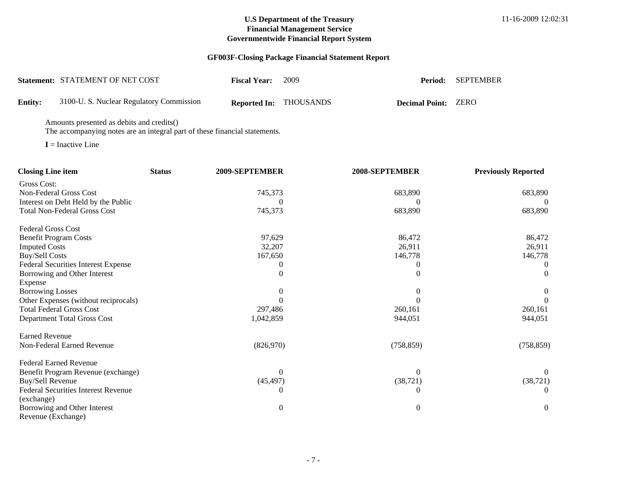# **GF003F-Closing Package Financial Statement Report**

|                | Statement: STATEMENT OF NET COST        | <b>Fiscal Year:</b> | 2009                          |                            | Period: SEPTEMBER |
|----------------|-----------------------------------------|---------------------|-------------------------------|----------------------------|-------------------|
| <b>Entity:</b> | 3100-U.S. Nuclear Regulatory Commission |                     | <b>Reported In: THOUSANDS</b> | <b>Decimal Point: ZERO</b> |                   |

Amounts presented as debits and credits()

The accompanying notes are an integral part of these financial statements.

**I** = Inactive Line

| <b>Closing Line item</b>                   | <b>Status</b> | 2009-SEPTEMBER | 2008-SEPTEMBER | <b>Previously Reported</b> |
|--------------------------------------------|---------------|----------------|----------------|----------------------------|
| Gross Cost:                                |               |                |                |                            |
| Non-Federal Gross Cost                     |               | 745,373        | 683,890        | 683,890                    |
| Interest on Debt Held by the Public        |               |                |                | $\theta$                   |
| <b>Total Non-Federal Gross Cost</b>        |               | 745,373        | 683,890        | 683,890                    |
| <b>Federal Gross Cost</b>                  |               |                |                |                            |
| <b>Benefit Program Costs</b>               |               | 97,629         | 86,472         | 86,472                     |
| <b>Imputed Costs</b>                       |               | 32,207         | 26,911         | 26,911                     |
| <b>Buy/Sell Costs</b>                      |               | 167,650        | 146,778        | 146,778                    |
| <b>Federal Securities Interest Expense</b> |               |                |                | $\theta$                   |
| Borrowing and Other Interest               |               |                | $\theta$       | $\Omega$                   |
| Expense                                    |               |                |                |                            |
| <b>Borrowing Losses</b>                    |               |                |                | $\mathbf{0}$               |
| Other Expenses (without reciprocals)       |               |                |                |                            |
| <b>Total Federal Gross Cost</b>            |               | 297,486        | 260,161        | 260,161                    |
| Department Total Gross Cost                |               | 1,042,859      | 944,051        | 944,051                    |
| <b>Earned Revenue</b>                      |               |                |                |                            |
| Non-Federal Earned Revenue                 |               | (826,970)      | (758, 859)     | (758, 859)                 |
| <b>Federal Earned Revenue</b>              |               |                |                |                            |
| Benefit Program Revenue (exchange)         |               | 0              | $\overline{0}$ | $\theta$                   |
| Buy/Sell Revenue                           |               | (45, 497)      | (38, 721)      | (38, 721)                  |
| <b>Federal Securities Interest Revenue</b> |               |                | 0              | $\Omega$                   |
| (exchange)                                 |               |                |                |                            |
| Borrowing and Other Interest               |               | 0              | 0              | $\boldsymbol{0}$           |
| Revenue (Exchange)                         |               |                |                |                            |